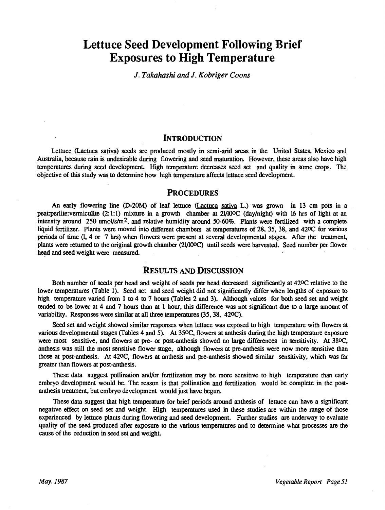# Lettuce Seed Development Following Brief Exposures to High Temperature

J. Takahashi and J. Kobriger Coons

# INTRODUCTION

Lettuce (Lactuca sativa) seeds are produced mostly in semi-arid areas in the United States, Mexico and Australia, because rain is undesirable during flowering and seed maturation. However, these areas also have high temperatures during seed development. High temperature decreases seed set and quality in some crops. The objective of this study was to determine how high temperature affects lettuce seed development.

# PROCEDURES

An early flowering line (D-20M) of leaf lettuce (Lactuca sativa L.) was grown in 13 cm pots in a peat:perlite:vermiculite (2:1:1) mixture in a growth chamber at 2I/100C (day /night) with 16 hrs of light at an intensity around  $250 \text{ umol/s/m}^2$ , and relative humidity around  $50{\text -}60\%$ . Plants were fertilized with a complete liquid fertilizer. Plants were moved into different chambers at temperatures of 28, 35, 38, and 42°C for various periods of time (1, 4 or 7 hrs) when flowers were present at several developmental stages. After the treatment, plants were returned to the original growth chamber (21/1000) until seeds were harvested. Seed number per flower head and seed weight were measured.

# RESULTS AND DISCUSSION

Both number of seeds per head and weight of seeds per head decreased significantly at 420C relative to the lower temperatures (Table 1). Seed set and seed weight did not significantly differ when lengths of exposure to high temperature varied from 1 to 4 to 7 hours (Tables 2 and 3). Although values for both seed set and weight tended to be lower at 4 and 7 hours than at 1 hour, this difference was not significant due to a large amount of variability. Responses were similar at all three temperatures (35, 38, 420C).

Seed set and weight showed similar responses when lettuce was exposed to high temperature with flowers at various developmental stages (Tables 4 and 5). At 350C, flowers at anthesis during the high temperature exposure were most sensitive, and flowers at pre- or post-anthesis showed no large differences in sensitivity. At 380C, anthesis was still the most sensitive flower stage, although flowers at pre- anthesis were now more sensitive than those at post-anthesis. At 42°C, flowers at anthesis and pre-anthesis showed similar sensitivity, which was far greater than flowers at post-anthesis.

These data suggest pollination and/or fertilization may be more sensitive to high temperature than early embryo development would be. The reason is that pollination and fertilization would be complete in the postanthesis treatment, but embryo development would just have begun.

These data suggest that high temperature for brief periods around anthesis of lettuce can have a significant negative effect on seed set and weight. High temperatures used in these studies are within the range of those experienced by lettuce plants during flowering and seed development. Further studies are underway to evaluate quality of the seed produced after exposure to the various temperatures and to determine what processes are the cause of the reduction in seed set and weight.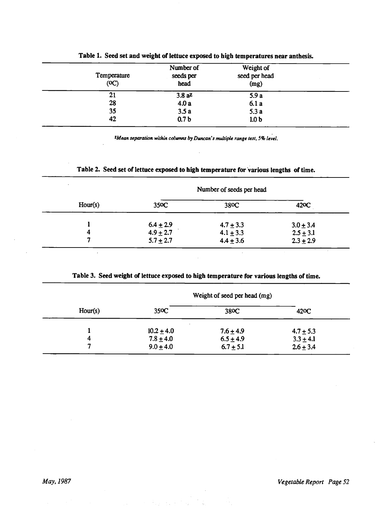| Temperature<br>(OC) | Number of<br>seeds per<br>head | Weight of<br>seed per head<br>(mg) |  |
|---------------------|--------------------------------|------------------------------------|--|
| 21                  | $3.8a^2$                       | 5.9a                               |  |
| 28                  | 4.0a                           | 6.1a                               |  |
| 35                  | 3.5a                           | 5.3a                               |  |
| 42                  | 0.7 <sub>b</sub>               | 1.0 <sub>b</sub>                   |  |

#### Table 1. Seed set and weight of lettuce exposed to high temperatures near anthesis.

ZMean separation within columns by Duncan's multiple range test, 5% level.

# Table 2. Seed set of lettuce exposed to high temperature for various lengths of time.

| $\bullet$ |               | Number of seeds per head |                        |
|-----------|---------------|--------------------------|------------------------|
| Hour(s)   | 350C          | 380C                     | 42 <sub>o</sub> $\sim$ |
|           | $6.4 \pm 2.9$ | $4.7 \pm 3.3$            | $3.0 \pm 3.4$          |
|           | $4.9 \pm 2.7$ | $4.1 \pm 3.3$            | $2.5 \pm 3.1$          |
|           | $5.7 \pm 2.7$ | $4.4 \pm 3.6$            | $2.3 \pm 2.9$          |

# Table 3. Seed weight of lettuce exposed to high temperature for various lengths of time.

|         |                | Weight of seed per head (mg) |                   |
|---------|----------------|------------------------------|-------------------|
| Hour(s) | 350C           | 38 <sub>o</sub> $C$          | 42 <sub>o</sub> C |
|         | $10.2 \pm 4.0$ | $7.6 + 4.9$                  | $4.7 \pm 5.3$     |
|         | $7.8 \pm 4.0$  | $6.5 \pm 4.9$                | $3.3 \pm 4.1$     |
|         | $9.0 \pm 4.0$  | $6.7 + 5.1$                  | $2.6 \pm 3.4$     |